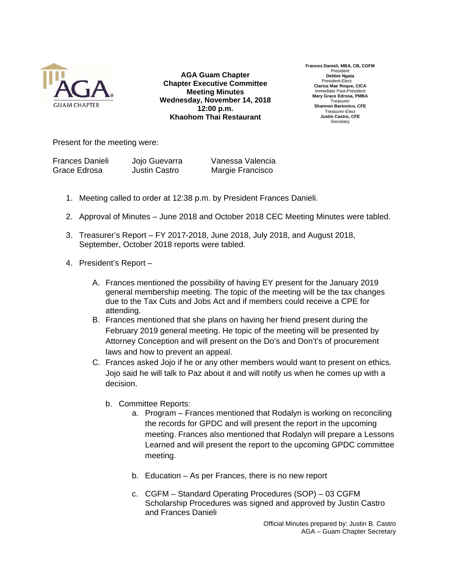

**AGA Guam Chapter Chapter Executive Committee Meeting Minutes Wednesday, November 14, 2018 12:00 p.m. Khaohom Thai Restaurant**

**Frances Danieli, MBA, CB, CGFM**  Presiden **Debbie Ngata**  President-Elect **Clariza Mae Roque, CICA**  Immediate Past-President **Mary Grace Edrosa, PMBA Treasurer Shannon Bartonico, CFE**  Treasurer-Elect **Justin Castro, CFE Secretary** 

Present for the meeting were:

| <b>Frances Danieli</b> | Jojo Guevarra | Vanessa Valencia |
|------------------------|---------------|------------------|
| Grace Edrosa           | Justin Castro | Margie Francisco |

- 1. Meeting called to order at 12:38 p.m. by President Frances Danieli.
- 2. Approval of Minutes June 2018 and October 2018 CEC Meeting Minutes were tabled.
- 3. Treasurer's Report FY 2017-2018, June 2018, July 2018, and August 2018, September, October 2018 reports were tabled.
- 4. President's Report
	- A. Frances mentioned the possibility of having EY present for the January 2019 general membership meeting. The topic of the meeting will be the tax changes due to the Tax Cuts and Jobs Act and if members could receive a CPE for attending.
	- B. Frances mentioned that she plans on having her friend present during the February 2019 general meeting. He topic of the meeting will be presented by Attorney Conception and will present on the Do's and Don't's of procurement laws and how to prevent an appeal.
	- C. Frances asked Jojo if he or any other members would want to present on ethics. Jojo said he will talk to Paz about it and will notify us when he comes up with a decision.
		- b. Committee Reports:
			- a. Program Frances mentioned that Rodalyn is working on reconciling the records for GPDC and will present the report in the upcoming meeting. Frances also mentioned that Rodalyn will prepare a Lessons Learned and will present the report to the upcoming GPDC committee meeting.
			- b. Education As per Frances, there is no new report
			- c. CGFM Standard Operating Procedures (SOP) 03 CGFM Scholarship Procedures was signed and approved by Justin Castro and Frances Danieli